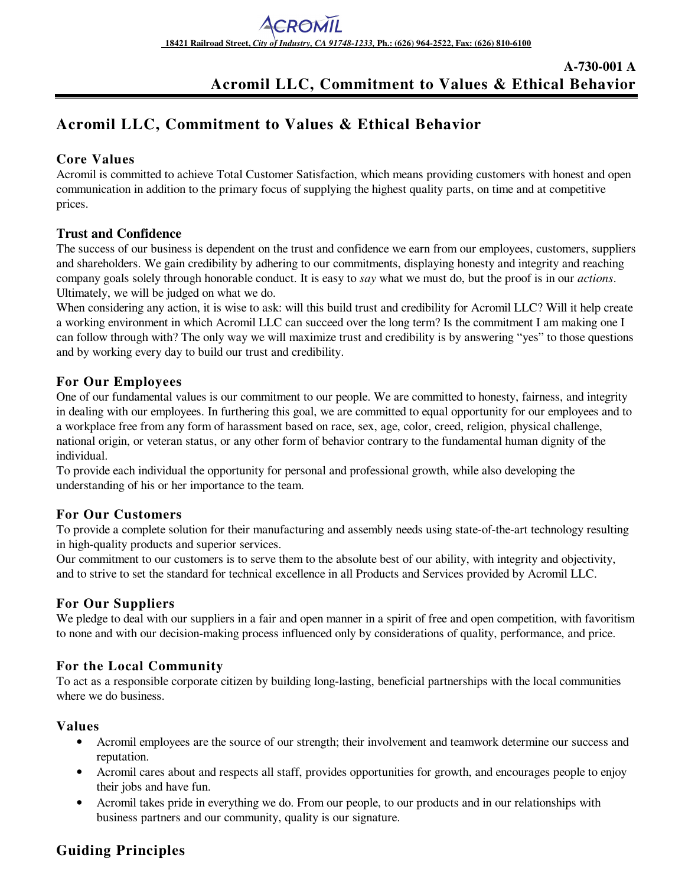**A-730-001 A Acromil LLC, Commitment to Values & Ethical Behavior** 

# **Acromil LLC, Commitment to Values & Ethical Behavior**

# **Core Values**

Acromil is committed to achieve Total Customer Satisfaction, which means providing customers with honest and open communication in addition to the primary focus of supplying the highest quality parts, on time and at competitive prices.

# **Trust and Confidence**

The success of our business is dependent on the trust and confidence we earn from our employees, customers, suppliers and shareholders. We gain credibility by adhering to our commitments, displaying honesty and integrity and reaching company goals solely through honorable conduct. It is easy to *say* what we must do, but the proof is in our *actions*. Ultimately, we will be judged on what we do.

When considering any action, it is wise to ask: will this build trust and credibility for Acromil LLC? Will it help create a working environment in which Acromil LLC can succeed over the long term? Is the commitment I am making one I can follow through with? The only way we will maximize trust and credibility is by answering "yes" to those questions and by working every day to build our trust and credibility.

# **For Our Employees**

One of our fundamental values is our commitment to our people. We are committed to honesty, fairness, and integrity in dealing with our employees. In furthering this goal, we are committed to equal opportunity for our employees and to a workplace free from any form of harassment based on race, sex, age, color, creed, religion, physical challenge, national origin, or veteran status, or any other form of behavior contrary to the fundamental human dignity of the individual.

To provide each individual the opportunity for personal and professional growth, while also developing the understanding of his or her importance to the team.

# **For Our Customers**

To provide a complete solution for their manufacturing and assembly needs using state-of-the-art technology resulting in high-quality products and superior services.

Our commitment to our customers is to serve them to the absolute best of our ability, with integrity and objectivity, and to strive to set the standard for technical excellence in all Products and Services provided by Acromil LLC.

# **For Our Suppliers**

We pledge to deal with our suppliers in a fair and open manner in a spirit of free and open competition, with favoritism to none and with our decision-making process influenced only by considerations of quality, performance, and price.

#### **For the Local Community**

To act as a responsible corporate citizen by building long-lasting, beneficial partnerships with the local communities where we do business.

# **Values**

- Acromil employees are the source of our strength; their involvement and teamwork determine our success and reputation.
- Acromil cares about and respects all staff, provides opportunities for growth, and encourages people to enjoy their jobs and have fun.
- Acromil takes pride in everything we do. From our people, to our products and in our relationships with business partners and our community, quality is our signature.

# **Guiding Principles**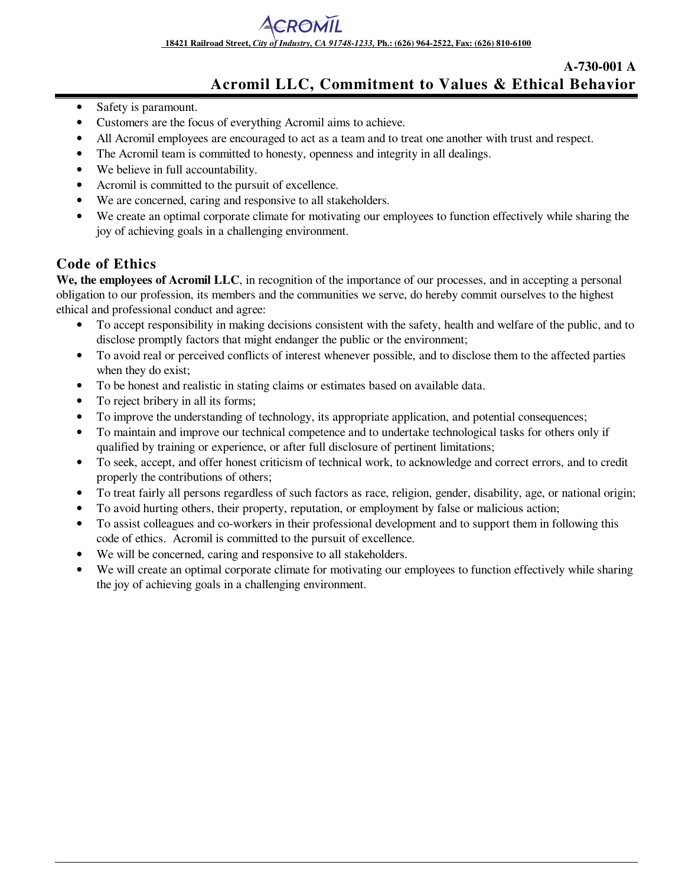**18421 Railroad Street,** *City of Industry, CA 91748-1233,* **Ph.: (626) 964-2522, Fax: (626) 810-6100**

# **Acromil LLC, Commitment to Values & Ethical Behavior**

**A-730-001 A** 

- Safety is paramount.
- Customers are the focus of everything Acromil aims to achieve.
- All Acromil employees are encouraged to act as a team and to treat one another with trust and respect.
- The Acromil team is committed to honesty, openness and integrity in all dealings.
- We believe in full accountability.
- Acromil is committed to the pursuit of excellence.
- We are concerned, caring and responsive to all stakeholders.
- We create an optimal corporate climate for motivating our employees to function effectively while sharing the joy of achieving goals in a challenging environment.

#### **Code of Ethics**

**We, the employees of Acromil LLC**, in recognition of the importance of our processes, and in accepting a personal obligation to our profession, its members and the communities we serve, do hereby commit ourselves to the highest ethical and professional conduct and agree:

- To accept responsibility in making decisions consistent with the safety, health and welfare of the public, and to disclose promptly factors that might endanger the public or the environment;
- To avoid real or perceived conflicts of interest whenever possible, and to disclose them to the affected parties when they do exist;
- To be honest and realistic in stating claims or estimates based on available data.
- To reject bribery in all its forms;
- To improve the understanding of technology, its appropriate application, and potential consequences;
- To maintain and improve our technical competence and to undertake technological tasks for others only if qualified by training or experience, or after full disclosure of pertinent limitations;
- To seek, accept, and offer honest criticism of technical work, to acknowledge and correct errors, and to credit properly the contributions of others;
- To treat fairly all persons regardless of such factors as race, religion, gender, disability, age, or national origin;
- To avoid hurting others, their property, reputation, or employment by false or malicious action;
- To assist colleagues and co-workers in their professional development and to support them in following this code of ethics. Acromil is committed to the pursuit of excellence.
- We will be concerned, caring and responsive to all stakeholders.
- We will create an optimal corporate climate for motivating our employees to function effectively while sharing the joy of achieving goals in a challenging environment.